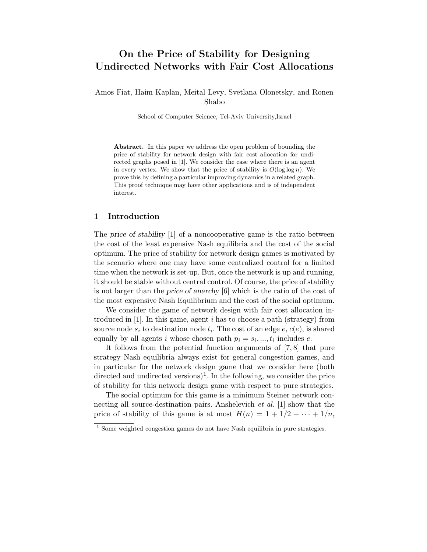# On the Price of Stability for Designing Undirected Networks with Fair Cost Allocations

Amos Fiat, Haim Kaplan, Meital Levy, Svetlana Olonetsky, and Ronen Shabo

School of Computer Science, Tel-Aviv University,Israel

Abstract. In this paper we address the open problem of bounding the price of stability for network design with fair cost allocation for undirected graphs posed in [1]. We consider the case where there is an agent in every vertex. We show that the price of stability is  $O(\log \log n)$ . We prove this by defining a particular improving dynamics in a related graph. This proof technique may have other applications and is of independent interest.

# 1 Introduction

The price of stability [1] of a noncooperative game is the ratio between the cost of the least expensive Nash equilibria and the cost of the social optimum. The price of stability for network design games is motivated by the scenario where one may have some centralized control for a limited time when the network is set-up. But, once the network is up and running, it should be stable without central control. Of course, the price of stability is not larger than the price of anarchy [6] which is the ratio of the cost of the most expensive Nash Equilibrium and the cost of the social optimum.

We consider the game of network design with fair cost allocation introduced in [1]. In this game, agent i has to choose a path (strategy) from source node  $s_i$  to destination node  $t_i$ . The cost of an edge  $e, c(e)$ , is shared equally by all agents *i* whose chosen path  $p_i = s_i, ..., t_i$  includes *e*.

It follows from the potential function arguments of [7, 8] that pure strategy Nash equilibria always exist for general congestion games, and in particular for the network design game that we consider here (both directed and undirected versions)<sup>1</sup>. In the following, we consider the price of stability for this network design game with respect to pure strategies.

The social optimum for this game is a minimum Steiner network connecting all source-destination pairs. Anshelevich *et al.* [1] show that the price of stability of this game is at most  $H(n) = 1 + 1/2 + \cdots + 1/n$ ,

<sup>&</sup>lt;sup>1</sup> Some weighted congestion games do not have Nash equilibria in pure strategies.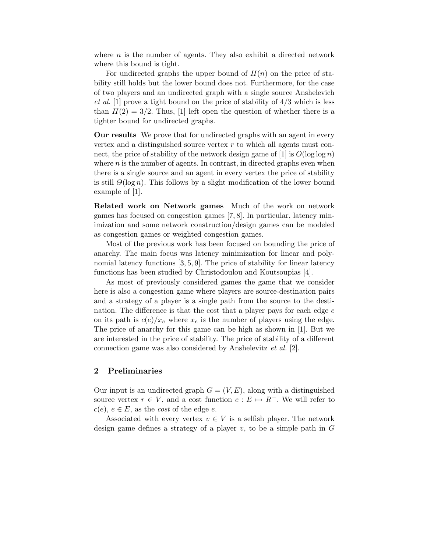where  $n$  is the number of agents. They also exhibit a directed network where this bound is tight.

For undirected graphs the upper bound of  $H(n)$  on the price of stability still holds but the lower bound does not. Furthermore, for the case of two players and an undirected graph with a single source Anshelevich et al. [1] prove a tight bound on the price of stability of  $4/3$  which is less than  $H(2) = 3/2$ . Thus, [1] left open the question of whether there is a tighter bound for undirected graphs.

Our results We prove that for undirected graphs with an agent in every vertex and a distinguished source vertex  $r$  to which all agents must connect, the price of stability of the network design game of [1] is  $O(\log \log n)$ where  $n$  is the number of agents. In contrast, in directed graphs even when there is a single source and an agent in every vertex the price of stability is still  $\Theta(\log n)$ . This follows by a slight modification of the lower bound example of [1].

Related work on Network games Much of the work on network games has focused on congestion games [7, 8]. In particular, latency minimization and some network construction/design games can be modeled as congestion games or weighted congestion games.

Most of the previous work has been focused on bounding the price of anarchy. The main focus was latency minimization for linear and polynomial latency functions [3, 5, 9]. The price of stability for linear latency functions has been studied by Christodoulou and Koutsoupias [4].

As most of previously considered games the game that we consider here is also a congestion game where players are source-destination pairs and a strategy of a player is a single path from the source to the destination. The difference is that the cost that a player pays for each edge  $e$ on its path is  $c(e)/x_e$  where  $x_e$  is the number of players using the edge. The price of anarchy for this game can be high as shown in [1]. But we are interested in the price of stability. The price of stability of a different connection game was also considered by Anshelevitz et al. [2].

# 2 Preliminaries

Our input is an undirected graph  $G = (V, E)$ , along with a distinguished source vertex  $r \in V$ , and a cost function  $c : E \mapsto R^+$ . We will refer to  $c(e), e \in E$ , as the *cost* of the edge e.

Associated with every vertex  $v \in V$  is a selfish player. The network design game defines a strategy of a player  $v$ , to be a simple path in  $G$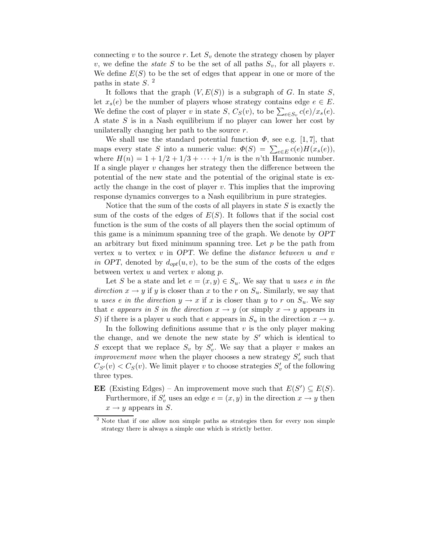connecting v to the source r. Let  $S_v$  denote the strategy chosen by player v, we define the *state* S to be the set of all paths  $S_v$ , for all players v. We define  $E(S)$  to be the set of edges that appear in one or more of the paths in state  $S$ .<sup>2</sup>

It follows that the graph  $(V, E(S))$  is a subgraph of G. In state S, let  $x_s(e)$  be the number of players whose strategy contains edge  $e \in E$ . We define the cost of player v in state  $S$ ,  $C_S(v)$ , to be  $\sum_{e \in S_v} c(e)/x_s(e)$ . A state S is in a Nash equilibrium if no player can lower her cost by unilaterally changing her path to the source  $r$ .

We shall use the standard potential function  $\Phi$ , see e.g. [1, 7], that maps every state S into a numeric value:  $\Phi(S) = \sum_{e \in E} c(e) H(x_s(e)),$ where  $H(n) = 1 + 1/2 + 1/3 + \cdots + 1/n$  is the *n*'th Harmonic number. If a single player  $v$  changes her strategy then the difference between the potential of the new state and the potential of the original state is exactly the change in the cost of player  $v$ . This implies that the improving response dynamics converges to a Nash equilibrium in pure strategies.

Notice that the sum of the costs of all players in state  $S$  is exactly the sum of the costs of the edges of  $E(S)$ . It follows that if the social cost function is the sum of the costs of all players then the social optimum of this game is a minimum spanning tree of the graph. We denote by OPT an arbitrary but fixed minimum spanning tree. Let  $p$  be the path from vertex  $u$  to vertex  $v$  in OPT. We define the *distance between*  $u$  and  $v$ in OPT, denoted by  $d_{opt}(u, v)$ , to be the sum of the costs of the edges between vertex  $u$  and vertex  $v$  along  $p$ .

Let S be a state and let  $e = (x, y) \in S_u$ . We say that u uses e in the direction  $x \to y$  if y is closer than x to the r on  $S_u$ . Similarly, we say that u uses e in the direction  $y \to x$  if x is closer than y to r on  $S_u$ . We say that e appears in S in the direction  $x \to y$  (or simply  $x \to y$  appears in S) if there is a player u such that e appears in  $S_u$  in the direction  $x \to y$ .

In the following definitions assume that  $v$  is the only player making the change, and we denote the new state by  $S'$  which is identical to S except that we replace  $S_v$  by  $S'_v$ . We say that a player v makes an *improvement move* when the player chooses a new strategy  $S'_v$  such that  $C_{S'}(v) < C_S(v)$ . We limit player v to choose strategies  $S'_v$  of the following three types.

**EE** (Existing Edges) – An improvement move such that  $E(S') \subseteq E(S)$ . Furthermore, if  $S'_v$  uses an edge  $e = (x, y)$  in the direction  $x \to y$  then  $x \rightarrow y$  appears in S.

<sup>&</sup>lt;sup>2</sup> Note that if one allow non simple paths as strategies then for every non simple strategy there is always a simple one which is strictly better.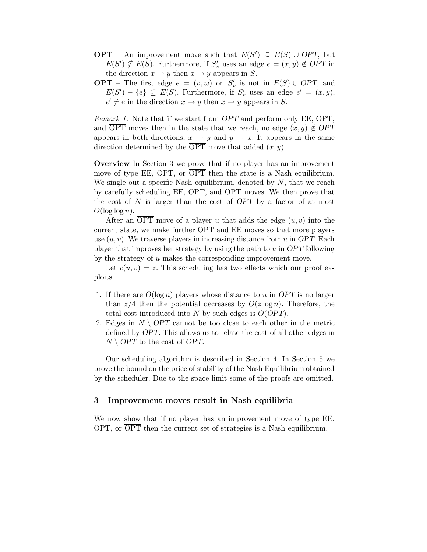- **OPT** An improvement move such that  $E(S') \subseteq E(S) \cup OPT$ , but  $E(S') \nsubseteq E(S)$ . Furthermore, if  $S'_v$  uses an edge  $e = (x, y) \notin OPT$  in the direction  $x \to y$  then  $x \to y$  appears in S.
- **OPT** The first edge  $e = (v, w)$  on  $S'_v$  is not in  $E(S) \cup OPT$ , and  $E(S') - \{e\} \subseteq E(S)$ . Furthermore, if  $S'_v$  uses an edge  $e' = (x, y)$ ,  $e' \neq e$  in the direction  $x \to y$  then  $x \to y$  appears in S.

Remark 1. Note that if we start from OPT and perform only EE, OPT, and  $\overline{OPT}$  moves then in the state that we reach, no edge  $(x, y) \notin OPT$ appears in both directions,  $x \to y$  and  $y \to x$ . It appears in the same direction determined by the  $\overline{\text{OPT}}$  move that added  $(x, y)$ .

Overview In Section 3 we prove that if no player has an improvement move of type EE, OPT, or  $\overline{OPT}$  then the state is a Nash equilibrium. We single out a specific Nash equilibrium, denoted by  $N$ , that we reach by carefully scheduling EE, OPT, and OPT moves. We then prove that the cost of  $N$  is larger than the cost of  $OPT$  by a factor of at most  $O(\log \log n)$ .

After an OPT move of a player u that adds the edge  $(u, v)$  into the current state, we make further OPT and EE moves so that more players use  $(u, v)$ . We traverse players in increasing distance from u in OPT. Each player that improves her strategy by using the path to  $u$  in  $OPT$  following by the strategy of u makes the corresponding improvement move.

Let  $c(u, v) = z$ . This scheduling has two effects which our proof exploits.

- 1. If there are  $O(\log n)$  players whose distance to u in OPT is no larger than  $z/4$  then the potential decreases by  $O(z \log n)$ . Therefore, the total cost introduced into N by such edges is  $O(OPT)$ .
- 2. Edges in  $N \setminus OPT$  cannot be too close to each other in the metric defined by OPT. This allows us to relate the cost of all other edges in  $N \setminus OPT$  to the cost of OPT.

Our scheduling algorithm is described in Section 4. In Section 5 we prove the bound on the price of stability of the Nash Equilibrium obtained by the scheduler. Due to the space limit some of the proofs are omitted.

# 3 Improvement moves result in Nash equilibria

We now show that if no player has an improvement move of type EE, OPT, or  $\overline{OPT}$  then the current set of strategies is a Nash equilibrium.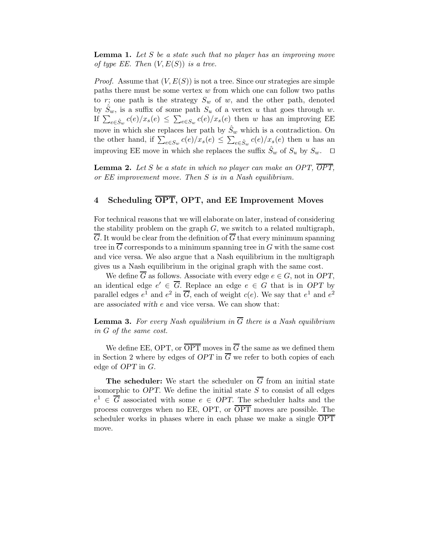**Lemma 1.** Let S be a state such that no player has an improving move of type EE. Then  $(V, E(S))$  is a tree.

*Proof.* Assume that  $(V, E(S))$  is not a tree. Since our strategies are simple paths there must be some vertex w from which one can follow two paths to r; one path is the strategy  $S_w$  of w, and the other path, denoted by  $S_w$ , is a suffix of some path  $S_u$  of a vertex u that goes through w. If  $\sum_{e \in \hat{S}_w} c(e)/x_s(e) \leq \sum_{e \in S_w} c(e)/x_s(e)$  then w has an improving EE move in which she replaces her path by  $\hat{S}_w$  which is a contradiction. On the other hand, if  $\sum_{e \in S_w} c(e)/x_s(e) \leq \sum_{e \in \hat{S}_w} c(e)/x_s(e)$  then u has an improving EE move in which she replaces the suffix  $\hat{S}_w$  of  $S_u$  by  $S_w$ .  $\Box$ 

**Lemma 2.** Let S be a state in which no player can make an OPT,  $\overline{OPT}$ , or EE improvement move. Then S is in a Nash equilibrium.

# 4 Scheduling OPT, OPT, and EE Improvement Moves

For technical reasons that we will elaborate on later, instead of considering the stability problem on the graph  $G$ , we switch to a related multigraph,  $\overline{G}$ . It would be clear from the definition of  $\overline{G}$  that every minimum spanning tree in  $\overline{G}$  corresponds to a minimum spanning tree in  $G$  with the same cost and vice versa. We also argue that a Nash equilibrium in the multigraph gives us a Nash equilibrium in the original graph with the same cost.

We define  $\overline{G}$  as follows. Associate with every edge  $e \in G$ , not in OPT, an identical edge  $e' \in \overline{G}$ . Replace an edge  $e \in G$  that is in OPT by parallel edges  $e^1$  and  $e^2$  in  $\overline{G}$ , each of weight  $c(e)$ . We say that  $e^1$  and  $e^2$ are associated with e and vice versa. We can show that:

**Lemma 3.** For every Nash equilibrium in  $\overline{G}$  there is a Nash equilibrium in G of the same cost.

We define EE, OPT, or  $\overline{OPT}$  moves in  $\overline{G}$  the same as we defined them in Section 2 where by edges of OPT in  $\overline{G}$  we refer to both copies of each edge of OPT in G.

**The scheduler:** We start the scheduler on  $\overline{G}$  from an initial state isomorphic to  $OPT$ . We define the initial state  $S$  to consist of all edges  $e^1 \in \overline{G}$  associated with some  $e \in OPT$ . The scheduler halts and the process converges when no EE, OPT, or OPT moves are possible. The scheduler works in phases where in each phase we make a single OPT move.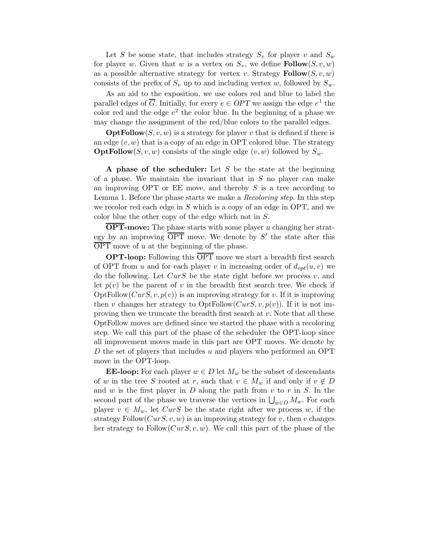Let S be some state, that includes strategy  $S_v$  for player v and  $S_w$ for player w. Given that w is a vertex on  $S_v$ , we define **Follow** $(S, v, w)$ as a possible alternative strategy for vertex v. Strategy  $\text{Follow}(S, v, w)$ consists of the prefix of  $S_v$  up to and including vertex w, followed by  $S_w$ .

As an aid to the exposition, we use colors red and blue to label the parallel edges of  $\overline{G}$ . Initially, for every  $e \in OPT$  we assign the edge  $e^1$  the color red and the edge  $e^2$  the color blue. In the beginning of a phase we may change the assignment of the red/blue colors to the parallel edges.

 $\text{OptFollow}(S, v, w)$  is a strategy for player v that is defined if there is an edge  $(v, w)$  that is a copy of an edge in OPT colored blue. The strategy **OptFollow**(S, v, w) consists of the single edge  $(v, w)$  followed by  $S_w$ .

A phase of the scheduler: Let  $S$  be the state at the beginning of a phase. We maintain the invariant that in  $S$  no player can make an improving OPT or EE move, and thereby  $S$  is a tree according to Lemma 1. Before the phase starts we make a *Recoloring step*. In this step we recolor red each edge in  $S$  which is a copy of an edge in OPT, and we color blue the other copy of the edge which not in S.

OPT-move: The phase starts with some player u changing her strategy by an improving  $\overline{\text{OPT}}$  move. We denote by  $S'$  the state after this  $\overline{\text{OPT}}$  move of u at the beginning of the phase.

OPT-loop: Following this OPT move we start a breadth first search of OPT from u and for each player v in increasing order of  $d_{opt}(u, v)$  we do the following. Let  $CurS$  be the state right before we process  $v$ , and let  $p(v)$  be the parent of v in the breadth first search tree. We check if OptFollow( $CurS, v, p(v)$ ) is an improving strategy for v. If it is improving then v changes her strategy to  $OptFollow(CurS, v, p(v))$ . If it is not improving then we truncate the breadth first search at  $v$ . Note that all these OptFollow moves are defined since we started the phase with a recoloring step. We call this part of the phase of the scheduler the OPT-loop since all improvement moves made in this part are OPT moves. We denote by D the set of players that includes u and players who performed an OPT move in the OPT-loop.

**EE-loop:** For each player  $w \in D$  let  $M_w$  be the subset of descendants of w in the tree S rooted at r, such that  $v \in M_w$  if and only if  $v \notin D$ and  $w$  is the first player in  $D$  along the path from  $v$  to  $r$  in  $S$ . In the second part of the phase we traverse the vertices in  $\bigcup_{w\in D} M_w$ . For each player  $v \in M_w$ , let  $CurS$  be the state right after we process w, if the strategy Follow $(CurS, v, w)$  is an improving strategy for v, then v changes her strategy to Follow $(CurS, v, w)$ . We call this part of the phase of the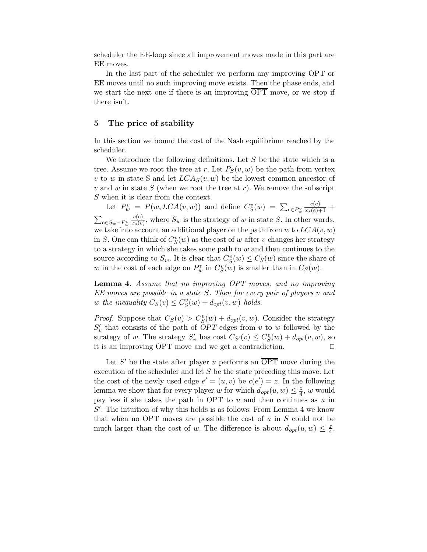scheduler the EE-loop since all improvement moves made in this part are EE moves.

In the last part of the scheduler we perform any improving OPT or EE moves until no such improving move exists. Then the phase ends, and we start the next one if there is an improving  $\overline{OPT}$  move, or we stop if there isn't.

# 5 The price of stability

In this section we bound the cost of the Nash equilibrium reached by the scheduler.

We introduce the following definitions. Let  $S$  be the state which is a tree. Assume we root the tree at r. Let  $P_S(v, w)$  be the path from vertex v to w in state S and let  $LCA_S(v, w)$  be the lowest common ancestor of v and w in state  $S$  (when we root the tree at r). We remove the subscript S when it is clear from the context.

Let  $P_w^v = P(w, LCA(v, w))$  and define  $C_S^v(w) = \sum_{e \in P_w^v}$  $\frac{c(e)}{x_s(e)+1}$  +  $\sum_{e \in S_w-P_w^v}$  $c(e)$  $\frac{c(e)}{x_s(e)}$ , where  $S_w$  is the strategy of w in state S. In other words, we take into account an additional player on the path from w to  $LCA(v, w)$ in S. One can think of  $C_S^v(w)$  as the cost of w after v changes her strategy to a strategy in which she takes some path to  $w$  and then continues to the source according to  $S_w$ . It is clear that  $C_S^v(w) \leq C_S(w)$  since the share of w in the cost of each edge on  $P_w^v$  in  $C_S^v(w)$  is smaller than in  $C_S(w)$ .

Lemma 4. Assume that no improving OPT moves, and no improving EE moves are possible in a state S. Then for every pair of players v and w the inequality  $C_S(v) \leq C_S^v(w) + d_{opt}(v, w)$  holds.

*Proof.* Suppose that  $C_S(v) > C_S^v(w) + d_{opt}(v, w)$ . Consider the strategy  $S'_v$  that consists of the path of  $OPT$  edges from v to w followed by the strategy of w. The strategy  $S'_v$  has cost  $C_{S'}(v) \leq C_S^v(w) + d_{opt}(v, w)$ , so it is an improving OPT move and we get a contradiction.  $\square$ 

Let  $S'$  be the state after player u performs an  $\overline{\text{OPT}}$  move during the execution of the scheduler and let  $S$  be the state preceding this move. Let the cost of the newly used edge  $e' = (u, v)$  be  $c(e') = z$ . In the following lemma we show that for every player w for which  $d_{opt}(u, w) \leq \frac{z}{4}$  $\frac{z}{4}$ , w would pay less if she takes the path in OPT to  $u$  and then continues as  $u$  in  $S'$ . The intuition of why this holds is as follows: From Lemma 4 we know that when no OPT moves are possible the cost of  $u$  in  $S$  could not be much larger than the cost of w. The difference is about  $d_{opt}(u, w) \leq \frac{z}{4}$  $\frac{z}{4}$ .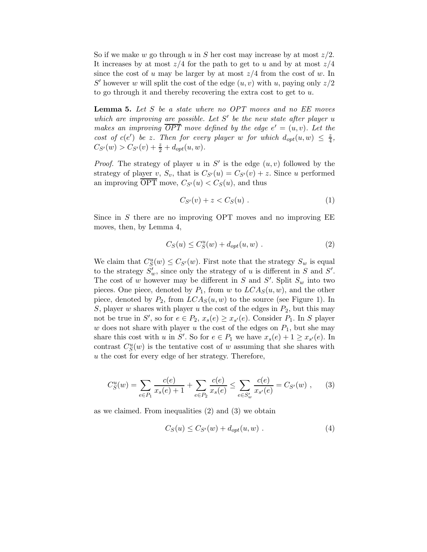So if we make w go through u in S her cost may increase by at most  $z/2$ . It increases by at most  $z/4$  for the path to get to u and by at most  $z/4$ since the cost of u may be larger by at most  $z/4$  from the cost of w. In S' however w will split the cost of the edge  $(u, v)$  with u, paying only  $z/2$ to go through it and thereby recovering the extra cost to get to  $u$ .

**Lemma 5.** Let  $S$  be a state where no OPT moves and no  $EE$  moves which are improving are possible. Let  $S'$  be the new state after player  $u$ makes an improving  $\overline{OPT}$  move defined by the edge  $e' = (u, v)$ . Let the cost of c(e') be z. Then for every player w for which  $d_{opt}(u, w) \leq \frac{z}{4}$  $\frac{z}{4}$ ,  $C_{S'}(w) > C_{S'}(v) + \frac{z}{2} + d_{opt}(u, w).$ 

*Proof.* The strategy of player u in S' is the edge  $(u, v)$  followed by the strategy of player v,  $S_v$ , that is  $C_{S'}(u) = C_{S'}(v) + z$ . Since u performed an improving  $\overline{OPT}$  move,  $C_{S'}(u) < C_{S}(u)$ , and thus

$$
C_{S'}(v) + z < C_S(u) \tag{1}
$$

Since in  $S$  there are no improving OPT moves and no improving  $EE$ moves, then, by Lemma 4,

$$
C_S(u) \le C_S^u(w) + d_{opt}(u, w) . \tag{2}
$$

We claim that  $C_S^u(w) \leq C_{S'}(w)$ . First note that the strategy  $S_w$  is equal to the strategy  $S'_w$ , since only the strategy of u is different in S and S'. The cost of w however may be different in S and S'. Split  $S_w$  into two pieces. One piece, denoted by  $P_1$ , from w to  $LCA_S(u, w)$ , and the other piece, denoted by  $P_2$ , from  $LCA_S(u, w)$  to the source (see Figure 1). In S, player w shares with player u the cost of the edges in  $P_2$ , but this may not be true in S', so for  $e \in P_2$ ,  $x_s(e) \ge x_{s'}(e)$ . Consider  $P_1$ . In S player w does not share with player u the cost of the edges on  $P_1$ , but she may share this cost with u in S'. So for  $e \in P_1$  we have  $x_s(e) + 1 \ge x_{s'}(e)$ . In contrast  $C_S^u(w)$  is the tentative cost of w assuming that she shares with u the cost for every edge of her strategy. Therefore,

$$
C_S^u(w) = \sum_{e \in P_1} \frac{c(e)}{x_s(e) + 1} + \sum_{e \in P_2} \frac{c(e)}{x_s(e)} \le \sum_{e \in S'_w} \frac{c(e)}{x_{s'}(e)} = C_{S'}(w) ,\qquad (3)
$$

as we claimed. From inequalities (2) and (3) we obtain

$$
C_S(u) \le C_{S'}(w) + d_{opt}(u, w) . \tag{4}
$$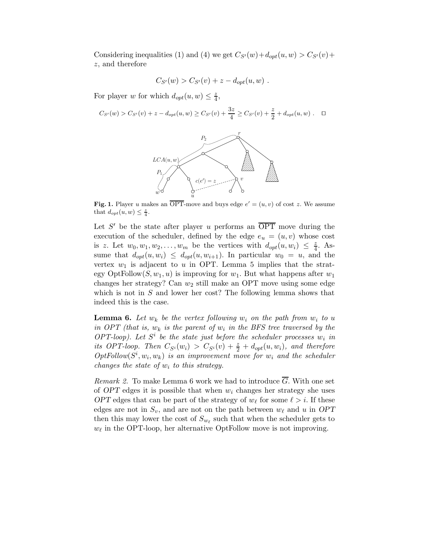Considering inequalities (1) and (4) we get  $C_{S'}(w) + d_{opt}(u, w) > C_{S'}(v) +$ z, and therefore

$$
C_{S'}(w) > C_{S'}(v) + z - d_{opt}(u, w) .
$$

For player w for which  $d_{opt}(u, w) \leq \frac{z}{4}$  $\frac{z}{4}$ 

$$
C_{S'}(w) > C_{S'}(v) + z - d_{opt}(u, w) \ge C_{S'}(v) + \frac{3z}{4} \ge C_{S'}(v) + \frac{z}{2} + d_{opt}(u, w) . \quad \Box
$$



Fig. 1. Player u makes an  $\overline{OPT}$ -move and buys edge  $e' = (u, v)$  of cost z. We assume that  $d_{opt}(u, w) \leq \frac{z}{4}$ .

Let  $S'$  be the state after player u performs an  $\overline{OPT}$  move during the execution of the scheduler, defined by the edge  $e_u = (u, v)$  whose cost is z. Let  $w_0, w_1, w_2, \ldots, w_m$  be the vertices with  $d_{opt}(u, w_i) \leq \frac{z}{4}$ . Assume that  $d_{opt}(u, w_i) \leq d_{opt}(u, w_{i+1})$ . In particular  $w_0 = u$ , and the vertex  $w_1$  is adjacent to u in OPT. Lemma 5 implies that the strategy OptFollow $(S, w_1, u)$  is improving for  $w_1$ . But what happens after  $w_1$ changes her strategy? Can  $w_2$  still make an OPT move using some edge which is not in  $S$  and lower her cost? The following lemma shows that indeed this is the case.

**Lemma 6.** Let  $w_k$  be the vertex following  $w_i$  on the path from  $w_i$  to u in OPT (that is,  $w_k$  is the parent of  $w_i$  in the BFS tree traversed by the OPT-loop). Let  $S^i$  be the state just before the scheduler processes  $w_i$  in its OPT-loop. Then  $C_{S^i}(w_i) > C_{S^i}(v) + \frac{z}{2} + d_{opt}(u, w_i)$ , and therefore  $OptFollow(S^i, w_i, w_k)$  is an improvement move for  $w_i$  and the scheduler changes the state of  $w_i$  to this strategy.

Remark 2. To make Lemma 6 work we had to introduce G. With one set of OPT edges it is possible that when  $w_i$  changes her strategy she uses OPT edges that can be part of the strategy of  $w_{\ell}$  for some  $\ell > i$ . If these edges are not in  $S_v$ , and are not on the path between  $w_\ell$  and u in OPT then this may lower the cost of  $S_{w_\ell}$  such that when the scheduler gets to  $w_{\ell}$  in the OPT-loop, her alternative OptFollow move is not improving.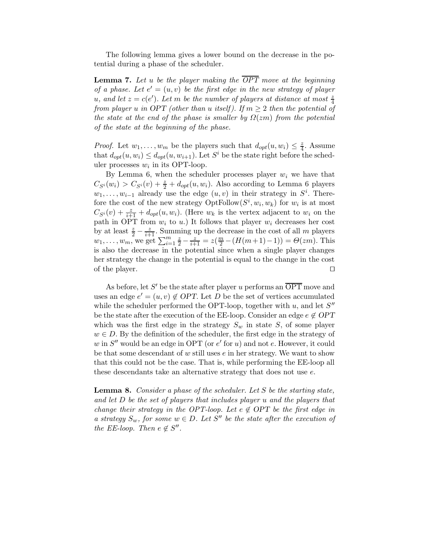The following lemma gives a lower bound on the decrease in the potential during a phase of the scheduler.

**Lemma 7.** Let u be the player making the  $\overline{OPT}$  move at the beginning of a phase. Let  $e' = (u, v)$  be the first edge in the new strategy of player u, and let  $z = c(e')$ . Let m be the number of players at distance at most  $\frac{z}{4}$ from player u in OPT (other than u itself). If  $m \geq 2$  then the potential of the state at the end of the phase is smaller by  $\Omega(zm)$  from the potential of the state at the beginning of the phase.

*Proof.* Let  $w_1, \ldots, w_m$  be the players such that  $d_{opt}(u, w_i) \leq \frac{z}{4}$  $\frac{z}{4}$ . Assume that  $d_{opt}(u, w_i) \leq d_{opt}(u, w_{i+1})$ . Let  $S^i$  be the state right before the scheduler processes  $w_i$  in its OPT-loop.

By Lemma 6, when the scheduler processes player  $w_i$  we have that  $C_{S_i}(w_i) > C_{S_i}(v) + \frac{z}{2} + d_{opt}(u, w_i)$ . Also according to Lemma 6 players  $w_1, \ldots, w_{i-1}$  already use the edge  $(u, v)$  in their strategy in  $S^i$ . Therefore the cost of the new strategy  $\mathrm{OptFollow}(S^i, w_i, w_k)$  for  $w_i$  is at most  $C_{S_i}(v) + \frac{z}{i+1} + d_{opt}(u, w_i)$ . (Here  $w_k$  is the vertex adjacent to  $w_i$  on the path in OPT from  $w_i$  to  $u$ .) It follows that player  $w_i$  decreases her cost by at least  $\frac{z}{2} - \frac{z}{i+1}$ . Summing up the decrease in the cost of all m players  $w_1, \ldots, w_m$ , we get  $\sum_{i=1}^m \frac{z}{2} - \frac{z}{i+1} = z(\frac{m}{2} - (H(m+1)-1)) = \Theta(zm)$ . This is also the decrease in the potential since when a single player changes her strategy the change in the potential is equal to the change in the cost of the player.  $\Box$ 

As before, let S' be the state after player u performs an  $\overline{\text{OPT}}$  move and uses an edge  $e' = (u, v) \notin OPT$ . Let D be the set of vertices accumulated while the scheduler performed the OPT-loop, together with  $u$ , and let  $S''$ be the state after the execution of the EE-loop. Consider an edge  $e \notin OPT$ which was the first edge in the strategy  $S_w$  in state S, of some player  $w \in D$ . By the definition of the scheduler, the first edge in the strategy of  $w$  in  $S''$  would be an edge in OPT (or  $e'$  for  $u$ ) and not  $e$ . However, it could be that some descendant of  $w$  still uses  $e$  in her strategy. We want to show that this could not be the case. That is, while performing the EE-loop all these descendants take an alternative strategy that does not use e.

Lemma 8. Consider a phase of the scheduler. Let S be the starting state, and let D be the set of players that includes player u and the players that change their strategy in the OPT-loop. Let  $e \notin \overline{OPT}$  be the first edge in a strategy  $S_w$ , for some  $w \in D$ . Let S'' be the state after the execution of the EE-loop. Then  $e \notin S''$ .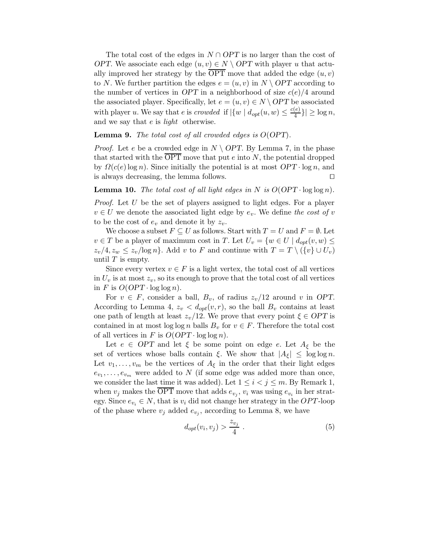The total cost of the edges in  $N \cap OPT$  is no larger than the cost of OPT. We associate each edge  $(u, v) \in N \setminus OPT$  with player u that actually improved her strategy by the  $\overline{OPT}$  move that added the edge  $(u, v)$ to N. We further partition the edges  $e = (u, v)$  in  $N \setminus OPT$  according to the number of vertices in OPT in a neighborhood of size  $c(e)/4$  around the associated player. Specifically, let  $e = (u, v) \in N \setminus OPT$  be associated with player u. We say that e is crowded if  $|\{w \mid d_{opt}(u, w) \leq \frac{c(e)}{4}\}|$  $\left|\frac{e}{4}\right| \geq \log n,$ and we say that  $e$  is *light* otherwise.

#### **Lemma 9.** The total cost of all crowded edges is  $O(OPT)$ .

*Proof.* Let e be a crowded edge in  $N \setminus OPT$ . By Lemma 7, in the phase that started with the  $\overline{OPT}$  move that put e into N, the potential dropped by  $\Omega(c(e) \log n)$ . Since initially the potential is at most  $OPT \cdot \log n$ , and is always decreasing, the lemma follows.  $\square$ 

**Lemma 10.** The total cost of all light edges in N is  $O(OPT \cdot log log n)$ .

Proof. Let U be the set of players assigned to light edges. For a player  $v \in U$  we denote the associated light edge by  $e_v$ . We define the cost of v to be the cost of  $e_v$  and denote it by  $z_v$ .

We choose a subset  $F \subseteq U$  as follows. Start with  $T = U$  and  $F = \emptyset$ . Let  $v \in T$  be a player of maximum cost in T. Let  $U_v = \{w \in U \mid d_{opt}(v, w) \leq$  $z_v/4$ ,  $z_w \leq z_v/\log n$ . Add v to F and continue with  $T = T \setminus (\{v\} \cup U_v)$ until  $T$  is empty.

Since every vertex  $v \in F$  is a light vertex, the total cost of all vertices in  $U_v$  is at most  $z_v$ , so its enough to prove that the total cost of all vertices in F is  $O(OPT \cdot \log \log n)$ .

For  $v \in F$ , consider a ball,  $B_v$ , of radius  $z_v/12$  around v in OPT. According to Lemma 4,  $z_v < d_{opt}(v,r)$ , so the ball  $B_v$  contains at least one path of length at least  $z_v/12$ . We prove that every point  $\xi \in OPT$  is contained in at most log log n balls  $B_v$  for  $v \in F$ . Therefore the total cost of all vertices in F is  $O(OPT \cdot \log \log n)$ .

Let  $e \in OPT$  and let  $\xi$  be some point on edge  $e$ . Let  $A_{\xi}$  be the set of vertices whose balls contain ξ. We show that  $|A_{\xi}| \leq \log \log n$ . Let  $v_1, \ldots, v_m$  be the vertices of  $A_\xi$  in the order that their light edges  $e_{v_1}, \ldots, e_{v_m}$  were added to N (if some edge was added more than once, we consider the last time it was added). Let  $1 \leq i < j \leq m$ . By Remark 1, when  $v_j$  makes the OPT move that adds  $e_{v_j}$ ,  $v_i$  was using  $e_{v_i}$  in her strategy. Since  $e_{v_i} \in N$ , that is  $v_i$  did not change her strategy in the *OPT*-loop of the phase where  $v_j$  added  $e_{v_j}$ , according to Lemma 8, we have

$$
d_{opt}(v_i, v_j) > \frac{z_{v_j}}{4} \tag{5}
$$